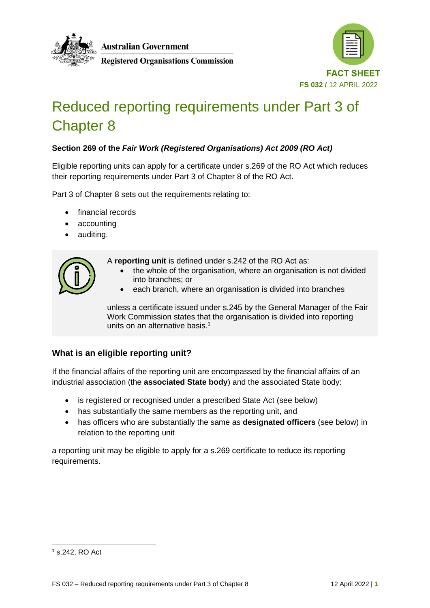



# Reduced reporting requirements under Part 3 of Chapter 8

# **Section 269 of the** *Fair Work (Registered Organisations) Act 2009 (RO Act)*

Eligible reporting units can apply for a certificate under s.269 of the RO Act which reduces their reporting requirements under Part 3 of Chapter 8 of the RO Act.

Part 3 of Chapter 8 sets out the requirements relating to:

- financial records
- accounting
- auditing.

A **reporting unit** is defined under s.242 of the RO Act as:

- the whole of the organisation, where an organisation is not divided into branches; or
- each branch, where an organisation is divided into branches

unless a certificate issued under s.245 by the General Manager of the Fair Work Commission states that the organisation is divided into reporting units on an alternative basis. 1

## **What is an eligible reporting unit?**

If the financial affairs of the reporting unit are encompassed by the financial affairs of an industrial association (the **associated State body**) and the associated State body:

- is registered or recognised under a prescribed State Act (see below)
- has substantially the same members as the reporting unit, and
- has officers who are substantially the same as **designated officers** (see below) in relation to the reporting unit

a reporting unit may be eligible to apply for a s.269 certificate to reduce its reporting requirements.

<sup>1</sup> s.242, RO Act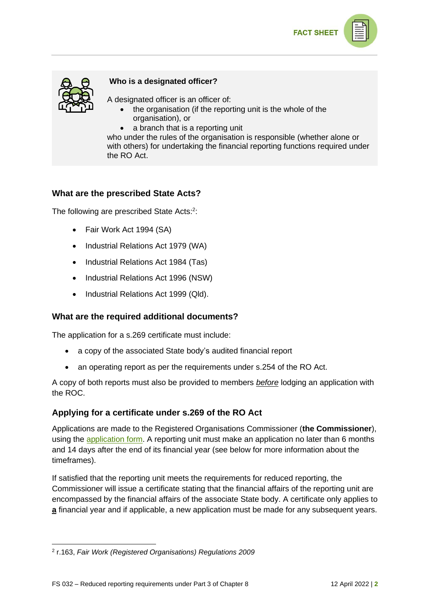



### **Who is a designated officer?**

A designated officer is an officer of:

- the organisation (if the reporting unit is the whole of the organisation), or
- a branch that is a reporting unit

who under the rules of the organisation is responsible (whether alone or with others) for undertaking the financial reporting functions required under the RO Act.

## **What are the prescribed State Acts?**

The following are prescribed State Acts:<sup>2</sup>:

- Fair Work Act 1994 (SA)
- Industrial Relations Act 1979 (WA)
- Industrial Relations Act 1984 (Tas)
- Industrial Relations Act 1996 (NSW)
- Industrial Relations Act 1999 (Qld).

## **What are the required additional documents?**

The application for a s.269 certificate must include:

- a copy of the associated State body's audited financial report
- an operating report as per the requirements under s.254 of the RO Act.

A copy of both reports must also be provided to members *before* lodging an application with the ROC.

#### **Applying for a certificate under s.269 of the RO Act**

Applications are made to the Registered Organisations Commissioner (**the Commissioner**), using the [application form.](https://www.roc.gov.au/sites/default/files/2022-04/af006-application-certificate-under-s269-reduced-reporting-requirements.docx) A reporting unit must make an application no later than 6 months and 14 days after the end of its financial year (see below for more information about the timeframes).

If satisfied that the reporting unit meets the requirements for reduced reporting, the Commissioner will issue a certificate stating that the financial affairs of the reporting unit are encompassed by the financial affairs of the associate State body. A certificate only applies to **a** financial year and if applicable, a new application must be made for any subsequent years.

<sup>2</sup> r.163, *Fair Work (Registered Organisations) Regulations 2009*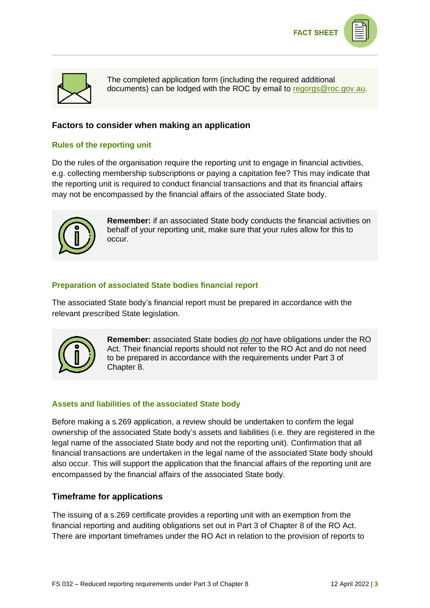

The completed application form (including the required additional documents) can be lodged with the ROC by email to [regorgs@roc.gov.au.](mailto:regorgs@roc.gov.au)

# **Factors to consider when making an application**

## **Rules of the reporting unit**

Do the rules of the organisation require the reporting unit to engage in financial activities, e.g. collecting membership subscriptions or paying a capitation fee? This may indicate that the reporting unit is required to conduct financial transactions and that its financial affairs may not be encompassed by the financial affairs of the associated State body.



**Remember:** if an associated State body conducts the financial activities on behalf of your reporting unit, make sure that your rules allow for this to occur.

## **Preparation of associated State bodies financial report**

The associated State body's financial report must be prepared in accordance with the relevant prescribed State legislation.



**Remember:** associated State bodies *do not* have obligations under the RO Act. Their financial reports should not refer to the RO Act and do not need to be prepared in accordance with the requirements under Part 3 of Chapter 8.

## **Assets and liabilities of the associated State body**

Before making a s.269 application, a review should be undertaken to confirm the legal ownership of the associated State body's assets and liabilities (i.e. they are registered in the legal name of the associated State body and not the reporting unit). Confirmation that all financial transactions are undertaken in the legal name of the associated State body should also occur. This will support the application that the financial affairs of the reporting unit are encompassed by the financial affairs of the associated State body.

## **Timeframe for applications**

The issuing of a s.269 certificate provides a reporting unit with an exemption from the financial reporting and auditing obligations set out in Part 3 of Chapter 8 of the RO Act. There are important timeframes under the RO Act in relation to the provision of reports to